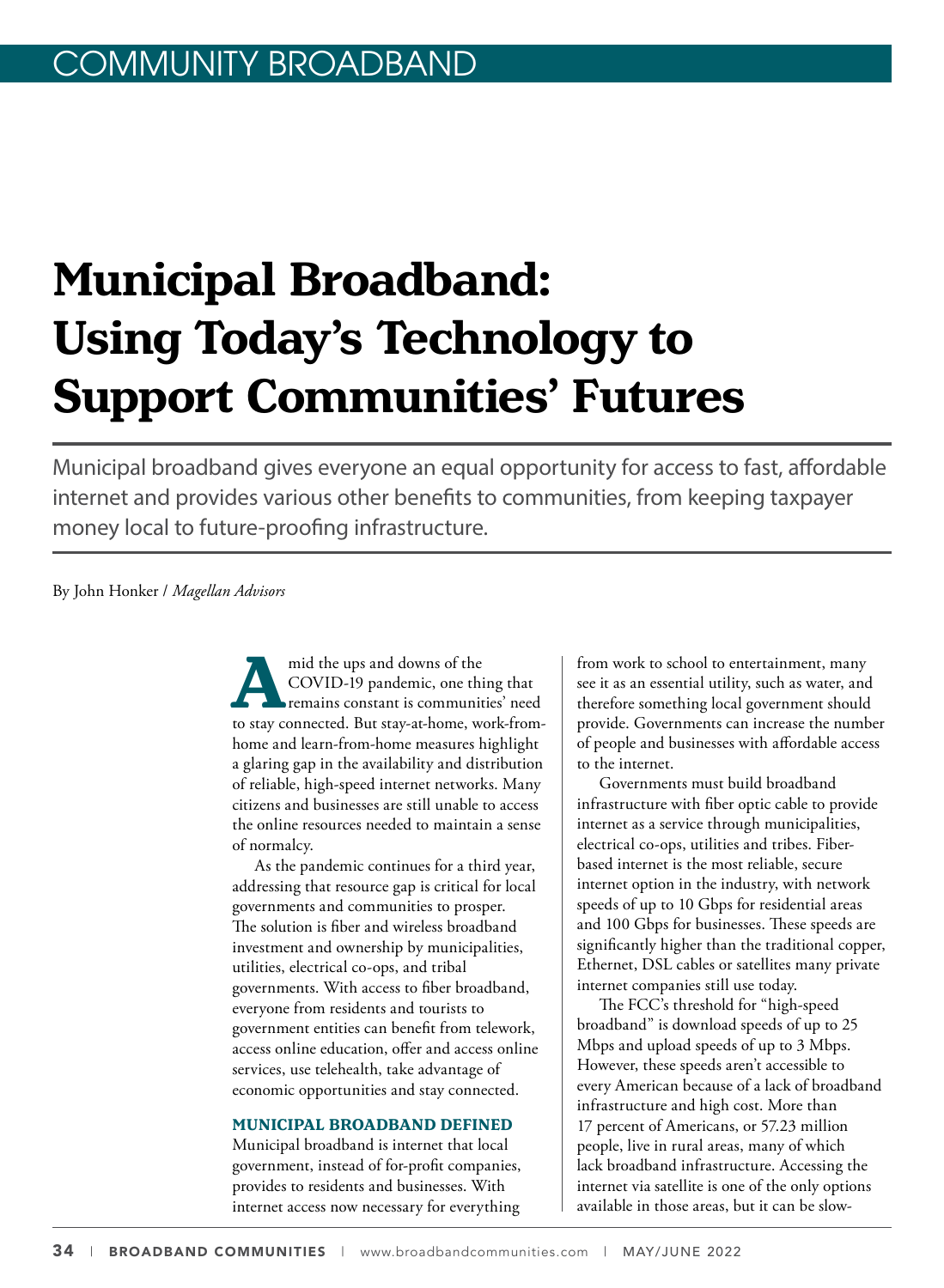# **Municipal Broadband: Using Today's Technology to Support Communities' Futures**

Municipal broadband gives everyone an equal opportunity for access to fast, affordable internet and provides various other benefits to communities, from keeping taxpayer money local to future-proofing infrastructure.

By John Honker / *Magellan Advisors* 

mid the ups and downs of the<br>COVID-19 pandemic, one this<br>to stay connected But stay-at-home was COVID-19 pandemic, one thing that remains constant is communities' need to stay connected. But stay-at-home, work-fromhome and learn-from-home measures highlight a glaring gap in the availability and distribution of reliable, high-speed internet networks. Many citizens and businesses are still unable to access the online resources needed to maintain a sense of normalcy.

As the pandemic continues for a third year, addressing that resource gap is critical for local governments and communities to prosper. The solution is fiber and wireless broadband investment and ownership by municipalities, utilities, electrical co-ops, and tribal governments. With access to fiber broadband, everyone from residents and tourists to government entities can benefit from telework, access online education, offer and access online services, use telehealth, take advantage of economic opportunities and stay connected.

### **MUNICIPAL BROADBAND DEFINED**

Municipal broadband is internet that local government, instead of for-profit companies, provides to residents and businesses. With internet access now necessary for everything from work to school to entertainment, many see it as an essential utility, such as water, and therefore something local government should provide. Governments can increase the number of people and businesses with affordable access to the internet.

Governments must build broadband infrastructure with fiber optic cable to provide internet as a service through municipalities, electrical co-ops, utilities and tribes. Fiberbased internet is the most reliable, secure internet option in the industry, with network speeds of up to 10 Gbps for residential areas and 100 Gbps for businesses. These speeds are significantly higher than the traditional copper, Ethernet, DSL cables or satellites many private internet companies still use today.

The FCC's threshold for "high-speed broadband" is download speeds of up to 25 Mbps and upload speeds of up to 3 Mbps. However, these speeds aren't accessible to every American because of a lack of broadband infrastructure and high cost. More than 17 percent of Americans, or 57.23 million people, live in rural areas, many of which lack broadband infrastructure. Accessing the internet via satellite is one of the only options available in those areas, but it can be slow-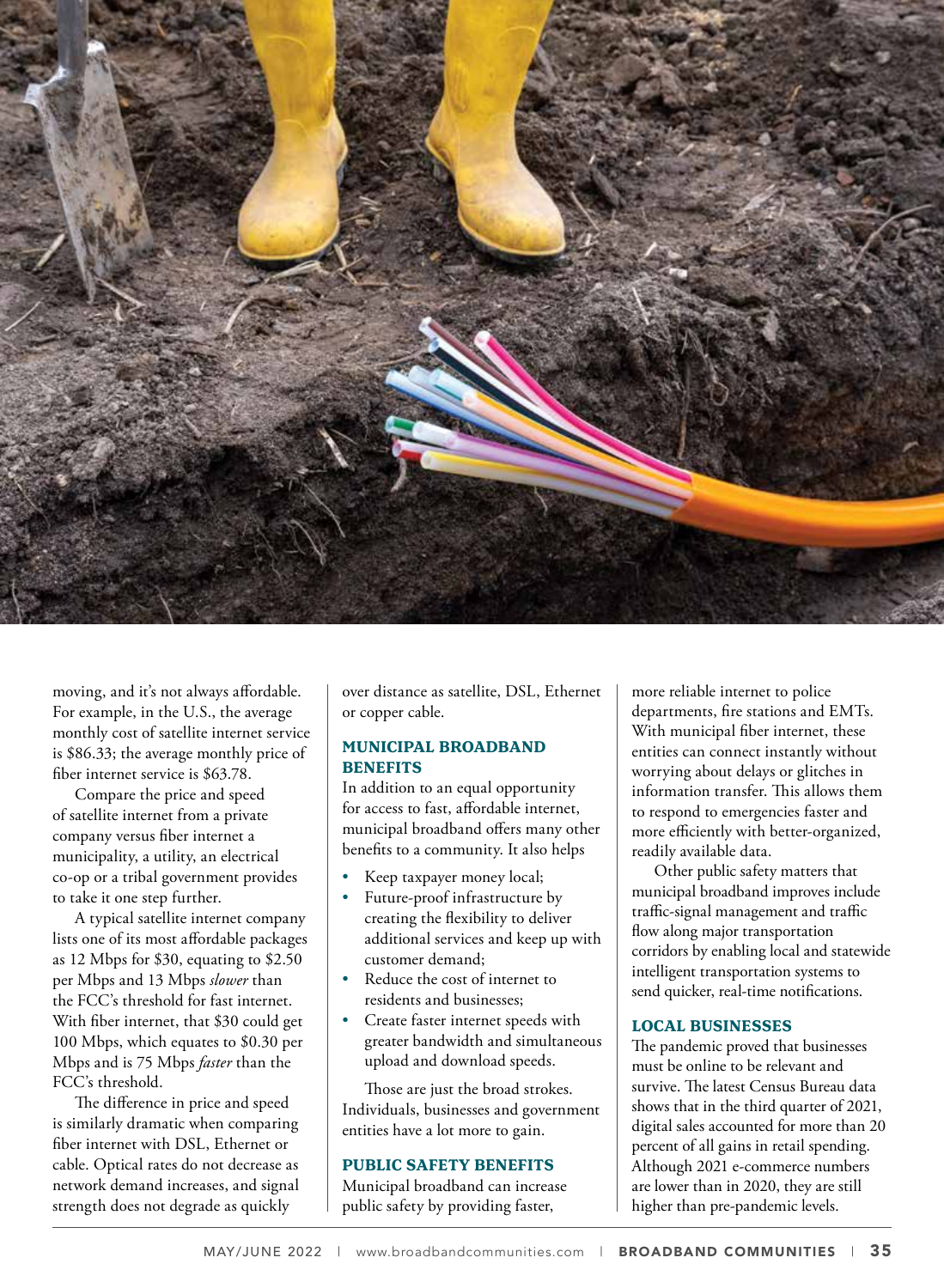

moving, and it's not always affordable. For example, in the U.S., the average monthly cost of satellite internet service is \$86.33; the average monthly price of fiber internet service is \$63.78.

Compare the price and speed of satellite internet from a private company versus fiber internet a municipality, a utility, an electrical co-op or a tribal government provides to take it one step further.

A typical satellite internet company lists one of its most affordable packages as 12 Mbps for \$30, equating to \$2.50 per Mbps and 13 Mbps *slower* than the FCC's threshold for fast internet. With fiber internet, that \$30 could get 100 Mbps, which equates to \$0.30 per Mbps and is 75 Mbps *faster* than the FCC's threshold.

The difference in price and speed is similarly dramatic when comparing fiber internet with DSL, Ethernet or cable. Optical rates do not decrease as network demand increases, and signal strength does not degrade as quickly

over distance as satellite, DSL, Ethernet or copper cable.

# **MUNICIPAL BROADBAND BENEFITS**

In addition to an equal opportunity for access to fast, affordable internet, municipal broadband offers many other benefits to a community. It also helps

- Keep taxpayer money local;
- Future-proof infrastructure by creating the flexibility to deliver additional services and keep up with customer demand;
- Reduce the cost of internet to residents and businesses;
- Create faster internet speeds with greater bandwidth and simultaneous upload and download speeds.

Those are just the broad strokes. Individuals, businesses and government entities have a lot more to gain.

## **PUBLIC SAFETY BENEFITS**

Municipal broadband can increase public safety by providing faster,

more reliable internet to police departments, fire stations and EMTs. With municipal fiber internet, these entities can connect instantly without worrying about delays or glitches in information transfer. This allows them to respond to emergencies faster and more efficiently with better-organized, readily available data.

Other public safety matters that municipal broadband improves include traffic-signal management and traffic flow along major transportation corridors by enabling local and statewide intelligent transportation systems to send quicker, real-time notifications.

#### **LOCAL BUSINESSES**

The pandemic proved that businesses must be online to be relevant and survive. The latest Census Bureau data shows that in the third quarter of 2021, digital sales accounted for more than 20 percent of all gains in retail spending. Although 2021 e-commerce numbers are lower than in 2020, they are still higher than pre-pandemic levels.